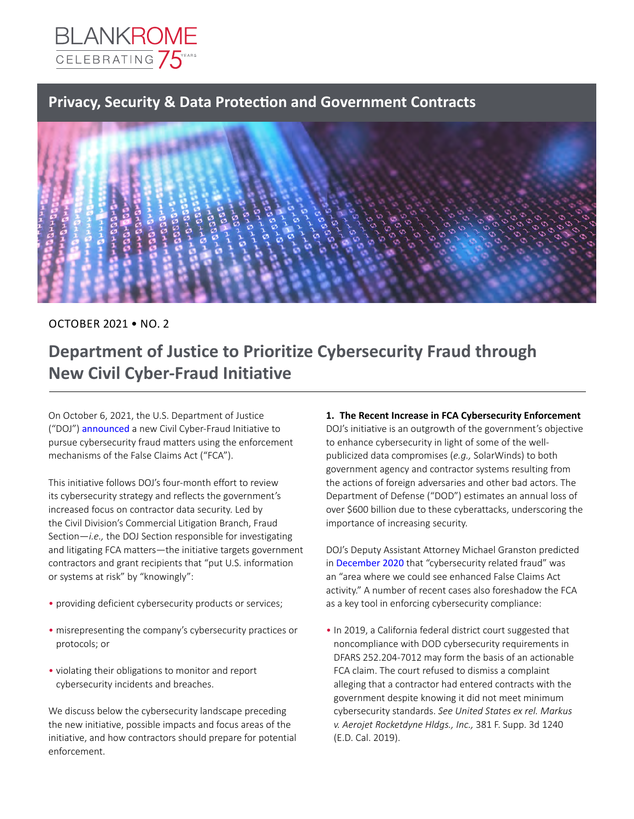

## **Privacy, Security & Data Protection and Government Contracts**



### OCTOBER 2021 • NO. 2

# **Department of Justice to Prioritize Cybersecurity Fraud through New Civil Cyber-Fraud Initiative**

On October 6, 2021, the U.S. Department of Justice ("DOJ") [announced](https://www.justice.gov/opa/pr/deputy-attorney-general-lisa-o-monaco-announces-new-civil-cyber-fraud-initiative) a new Civil Cyber-Fraud Initiative to pursue cybersecurity fraud matters using the enforcement mechanisms of the False Claims Act ("FCA").

This initiative follows DOJ's four-month effort to review its cybersecurity strategy and reflects the government's increased focus on contractor data security. Led by the Civil Division's Commercial Litigation Branch, Fraud Section—*i.e.,* the DOJ Section responsible for investigating and litigating FCA matters—the initiative targets government contractors and grant recipients that "put U.S. information or systems at risk" by "knowingly":

- providing deficient cybersecurity products or services;
- misrepresenting the company's cybersecurity practices or protocols; or
- •   violating their obligations to monitor and report cybersecurity incidents and breaches.

We discuss below the cybersecurity landscape preceding the new initiative, possible impacts and focus areas of the initiative, and how contractors should prepare for potential enforcement.

### 1. The Recent Increase in FCA Cybersecurity Enforcement

DOJ's initiative is an outgrowth of the government's objective to enhance cybersecurity in light of some of the wellpublicized data compromises (*e.g.,* SolarWinds) to both government agency and contractor systems resulting from the actions of foreign adversaries and other bad actors. The Department of Defense ("DOD") estimates an annual loss of over \$600 billion due to these cyberattacks, underscoring the importance of increasing security.

DOJ's Deputy Assistant Attorney Michael Granston predicted in [December 2020](https://www.justice.gov/opa/speech/remarks-deputy-assistant-attorney-general-michael-d-granston-aba-civil-false-claims-act) that "cybersecurity related fraud" was an "area where we could see enhanced False Claims Act activity." A number of recent cases also foreshadow the FCA as a key tool in enforcing cybersecurity compliance:

• In 2019, a California federal district court suggested that noncompliance with DOD cybersecurity requirements in DFARS 252.204-7012 may form the basis of an actionable FCA claim. The court refused to dismiss a complaint alleging that a contractor had entered contracts with the government despite knowing it did not meet minimum cybersecurity standards. *See United States ex rel. Markus v. Aerojet Rocketdyne Hldgs., Inc.,* 381 F. Supp. 3d 1240 (E.D. Cal. 2019).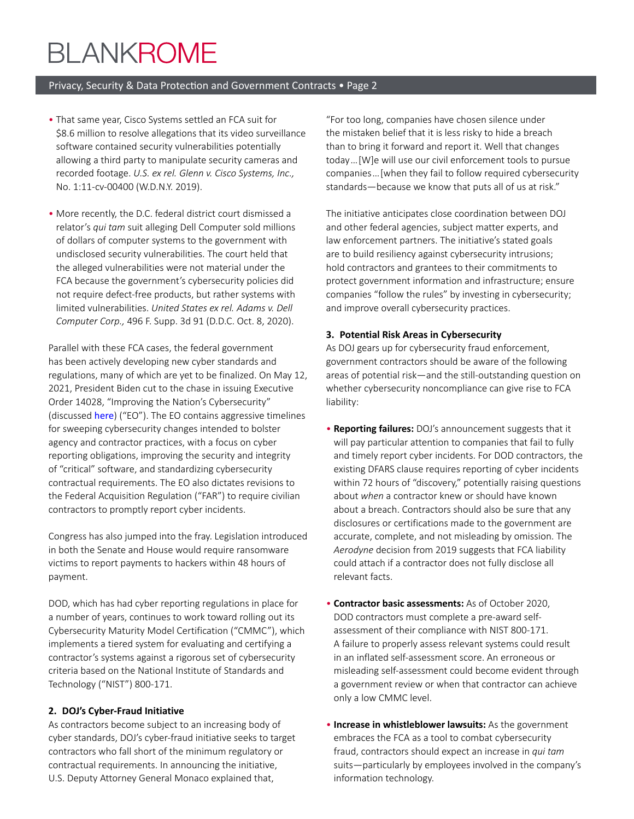# **BLANKROME**

#### Privacy, Security & Data Protection and Government Contracts • Page 2

- •   That same year, Cisco Systems settled an FCA suit for \$8.6 million to resolve allegations that its video surveillance software contained security vulnerabilities potentially allowing a third party to manipulate security cameras and recorded footage. *U.S. ex rel. Glenn v. Cisco Systems, Inc.,*  No. 1:11-cv-00400 (W.D.N.Y. 2019).
- •   More recently, the D.C. federal district court dismissed a relator's *qui tam* suit alleging Dell Computer sold millions of dollars of computer systems to the government with undisclosed security vulnerabilities. The court held that the alleged vulnerabilities were not material under the FCA because the government's cybersecurity policies did not require defect-free products, but rather systems with limited vulnerabilities. *United States ex rel. Adams v. Dell Computer Corp.,* 496 F. Supp. 3d 91 (D.D.C. Oct. 8, 2020).

Parallel with these FCA cases, the federal government has been actively developing new cyber standards and regulations, many of which are yet to be finalized. On May 12, 2021, President Biden cut to the chase in issuing Executive Order 14028, "Improving the Nation's Cybersecurity" (discussed [here](https://www.blankrome.com/publications/govt-contractors-road-map-biden-cybersecurity-order)) ("EO"). The EO contains aggressive timelines for sweeping cybersecurity changes intended to bolster agency and contractor practices, with a focus on cyber reporting obligations, improving the security and integrity of "critical" software, and standardizing cybersecurity contractual requirements. The EO also dictates revisions to the Federal Acquisition Regulation ("FAR") to require civilian contractors to promptly report cyber incidents.

Congress has also jumped into the fray. Legislation introduced in both the Senate and House would require ransomware victims to report payments to hackers within 48 hours of payment.

DOD, which has had cyber reporting regulations in place for a number of years, continues to work toward rolling out its Cybersecurity Maturity Model Certification ("CMMC"), which implements a tiered system for evaluating and certifying a contractor's systems against a rigorous set of cybersecurity criteria based on the National Institute of Standards and Technology ("NIST") 800-171.

#### **2. DOJ's Cyber-Fraud Initiative**

As contractors become subject to an increasing body of cyber standards, DOJ's cyber-fraud initiative seeks to target contractors who fall short of the minimum regulatory or contractual requirements. In announcing the initiative, U.S. Deputy Attorney General Monaco explained that,

"For too long, companies have chosen silence under the mistaken belief that it is less risky to hide a breach than to bring it forward and report it. Well that changes today … [W]e will use our civil enforcement tools to pursue companies … [when they fail to follow required cybersecurity standards—because we know that puts all of us at risk."

The initiative anticipates close coordination between DOJ and other federal agencies, subject matter experts, and law enforcement partners. The initiative's stated goals are to build resiliency against cybersecurity intrusions; hold contractors and grantees to their commitments to protect government information and infrastructure; ensure companies "follow the rules" by investing in cybersecurity; and improve overall cybersecurity practices.

#### **3. Potential Risk Areas in Cybersecurity**

As DOJ gears up for cybersecurity fraud enforcement, government contractors should be aware of the following areas of potential risk—and the still-outstanding question on whether cybersecurity noncompliance can give rise to FCA liability:

- •   **Reporting failures:** DOJ's announcement suggests that it will pay particular attention to companies that fail to fully and timely report cyber incidents. For DOD contractors, the existing DFARS clause requires reporting of cyber incidents within 72 hours of "discovery," potentially raising questions about *when* a contractor knew or should have known about a breach. Contractors should also be sure that any disclosures or certifications made to the government are accurate, complete, and not misleading by omission. The *Aerodyne* decision from 2019 suggests that FCA liability could attach if a contractor does not fully disclose all relevant facts.
- •   **Contractor basic assessments:** As of October 2020, DOD contractors must complete a pre-award selfassessment of their compliance with NIST 800-171. A failure to properly assess relevant systems could result in an inflated self-assessment score. An erroneous or misleading self-assessment could become evident through a government review or when that contractor can achieve only a low CMMC level.
- •   **Increase in whistleblower lawsuits:** As the government embraces the FCA as a tool to combat cybersecurity fraud, contractors should expect an increase in *qui tam*  suits—particularly by employees involved in the company's information technology.